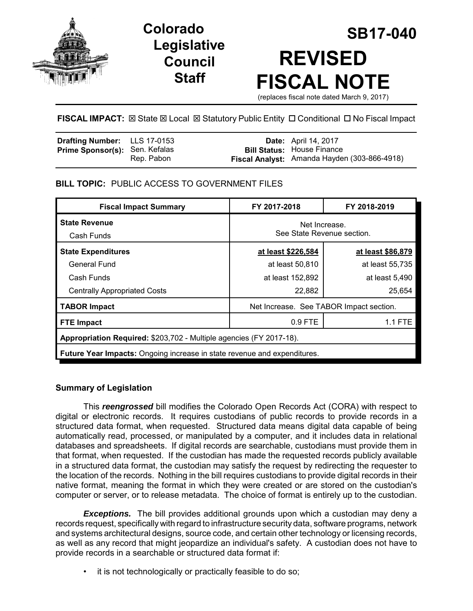

# **Legislative Council Staff**

# **SB17-040 Colorado REVISED FISCAL NOTE** (replaces fiscal note dated March 9, 2017)

**FISCAL IMPACT:**  $\boxtimes$  **State**  $\boxtimes$  **Local**  $\boxtimes$  **Statutory Public Entity □ Conditional □ No Fiscal Impact** 

| <b>Drafting Number:</b> LLS 17-0153 |            | <b>Date:</b> April 14, 2017                  |
|-------------------------------------|------------|----------------------------------------------|
| Prime Sponsor(s): Sen. Kefalas      |            | <b>Bill Status: House Finance</b>            |
|                                     | Rep. Pabon | Fiscal Analyst: Amanda Hayden (303-866-4918) |

## **BILL TOPIC:** PUBLIC ACCESS TO GOVERNMENT FILES

| <b>Fiscal Impact Summary</b>                                                    | FY 2017-2018                                | FY 2018-2019      |  |  |  |  |
|---------------------------------------------------------------------------------|---------------------------------------------|-------------------|--|--|--|--|
| <b>State Revenue</b><br>Cash Funds                                              | Net Increase.<br>See State Revenue section. |                   |  |  |  |  |
| <b>State Expenditures</b>                                                       | at least \$226,584                          | at least \$86,879 |  |  |  |  |
| General Fund                                                                    | at least 50,810                             | at least 55,735   |  |  |  |  |
| Cash Funds                                                                      | at least 152,892                            | at least 5,490    |  |  |  |  |
| <b>Centrally Appropriated Costs</b>                                             | 22,882                                      | 25,654            |  |  |  |  |
| <b>TABOR Impact</b>                                                             | Net Increase. See TABOR Impact section.     |                   |  |  |  |  |
| <b>FTE Impact</b>                                                               | 0.9 FTE                                     | 1.1 FTE           |  |  |  |  |
| Appropriation Required: \$203,702 - Multiple agencies (FY 2017-18).             |                                             |                   |  |  |  |  |
| <b>Future Year Impacts:</b> Ongoing increase in state revenue and expenditures. |                                             |                   |  |  |  |  |

## **Summary of Legislation**

This *reengrossed* bill modifies the Colorado Open Records Act (CORA) with respect to digital or electronic records. It requires custodians of public records to provide records in a structured data format, when requested. Structured data means digital data capable of being automatically read, processed, or manipulated by a computer, and it includes data in relational databases and spreadsheets. If digital records are searchable, custodians must provide them in that format, when requested. If the custodian has made the requested records publicly available in a structured data format, the custodian may satisfy the request by redirecting the requester to the location of the records. Nothing in the bill requires custodians to provide digital records in their native format, meaning the format in which they were created or are stored on the custodian's computer or server, or to release metadata. The choice of format is entirely up to the custodian.

*Exceptions.* The bill provides additional grounds upon which a custodian may deny a records request, specifically with regard to infrastructure security data, software programs, network and systems architectural designs, source code, and certain other technology or licensing records, as well as any record that might jeopardize an individual's safety. A custodian does not have to provide records in a searchable or structured data format if:

• it is not technologically or practically feasible to do so;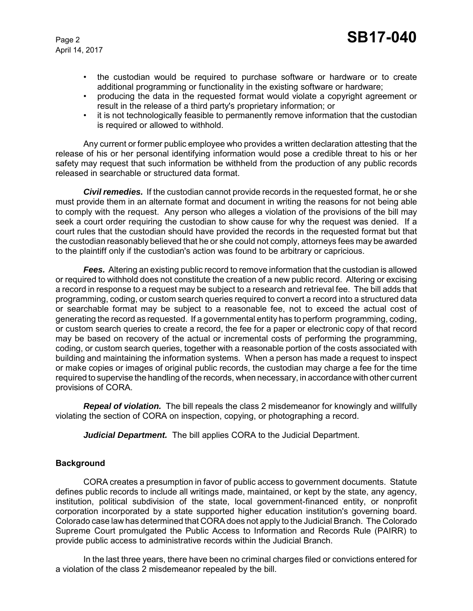- the custodian would be required to purchase software or hardware or to create additional programming or functionality in the existing software or hardware;
- producing the data in the requested format would violate a copyright agreement or result in the release of a third party's proprietary information; or
- it is not technologically feasible to permanently remove information that the custodian is required or allowed to withhold.

Any current or former public employee who provides a written declaration attesting that the release of his or her personal identifying information would pose a credible threat to his or her safety may request that such information be withheld from the production of any public records released in searchable or structured data format.

*Civil remedies.* If the custodian cannot provide records in the requested format, he or she must provide them in an alternate format and document in writing the reasons for not being able to comply with the request. Any person who alleges a violation of the provisions of the bill may seek a court order requiring the custodian to show cause for why the request was denied. If a court rules that the custodian should have provided the records in the requested format but that the custodian reasonably believed that he or she could not comply, attorneys fees may be awarded to the plaintiff only if the custodian's action was found to be arbitrary or capricious.

*Fees.* Altering an existing public record to remove information that the custodian is allowed or required to withhold does not constitute the creation of a new public record. Altering or excising a record in response to a request may be subject to a research and retrieval fee. The bill adds that programming, coding, or custom search queries required to convert a record into a structured data or searchable format may be subject to a reasonable fee, not to exceed the actual cost of generating the record as requested. If a governmental entity has to perform programming, coding, or custom search queries to create a record, the fee for a paper or electronic copy of that record may be based on recovery of the actual or incremental costs of performing the programming, coding, or custom search queries, together with a reasonable portion of the costs associated with building and maintaining the information systems. When a person has made a request to inspect or make copies or images of original public records, the custodian may charge a fee for the time required to supervise the handling of the records, when necessary, in accordance with other current provisions of CORA.

*Repeal of violation.* The bill repeals the class 2 misdemeanor for knowingly and willfully violating the section of CORA on inspection, copying, or photographing a record.

*Judicial Department.* The bill applies CORA to the Judicial Department.

#### **Background**

CORA creates a presumption in favor of public access to government documents. Statute defines public records to include all writings made, maintained, or kept by the state, any agency, institution, political subdivision of the state, local government-financed entity, or nonprofit corporation incorporated by a state supported higher education institution's governing board. Colorado case law has determined that CORA does not apply to the Judicial Branch. The Colorado Supreme Court promulgated the Public Access to Information and Records Rule (PAIRR) to provide public access to administrative records within the Judicial Branch.

In the last three years, there have been no criminal charges filed or convictions entered for a violation of the class 2 misdemeanor repealed by the bill.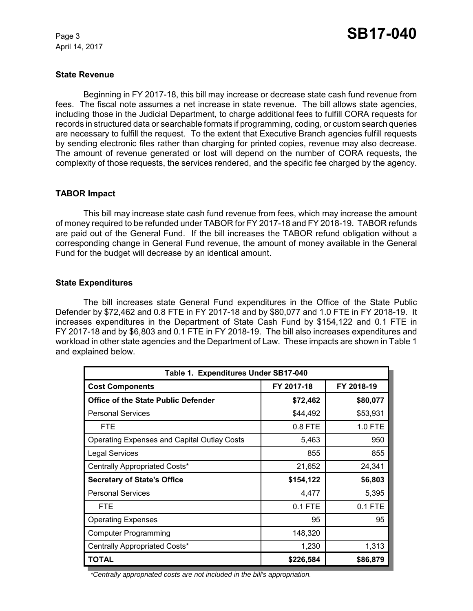#### **State Revenue**

Beginning in FY 2017-18, this bill may increase or decrease state cash fund revenue from fees. The fiscal note assumes a net increase in state revenue. The bill allows state agencies, including those in the Judicial Department, to charge additional fees to fulfill CORA requests for records in structured data or searchable formats if programming, coding, or custom search queries are necessary to fulfill the request. To the extent that Executive Branch agencies fulfill requests by sending electronic files rather than charging for printed copies, revenue may also decrease. The amount of revenue generated or lost will depend on the number of CORA requests, the complexity of those requests, the services rendered, and the specific fee charged by the agency.

#### **TABOR Impact**

This bill may increase state cash fund revenue from fees, which may increase the amount of money required to be refunded under TABOR for FY 2017-18 and FY 2018-19. TABOR refunds are paid out of the General Fund. If the bill increases the TABOR refund obligation without a corresponding change in General Fund revenue, the amount of money available in the General Fund for the budget will decrease by an identical amount.

#### **State Expenditures**

The bill increases state General Fund expenditures in the Office of the State Public Defender by \$72,462 and 0.8 FTE in FY 2017-18 and by \$80,077 and 1.0 FTE in FY 2018-19. It increases expenditures in the Department of State Cash Fund by \$154,122 and 0.1 FTE in FY 2017-18 and by \$6,803 and 0.1 FTE in FY 2018-19. The bill also increases expenditures and workload in other state agencies and the Department of Law. These impacts are shown in Table 1 and explained below.

| Table 1. Expenditures Under SB17-040               |            |            |  |  |  |
|----------------------------------------------------|------------|------------|--|--|--|
| <b>Cost Components</b>                             | FY 2017-18 | FY 2018-19 |  |  |  |
| <b>Office of the State Public Defender</b>         | \$72,462   | \$80,077   |  |  |  |
| <b>Personal Services</b>                           | \$44,492   | \$53,931   |  |  |  |
| <b>FTE</b>                                         | 0.8 FTE    | 1.0 FTE    |  |  |  |
| <b>Operating Expenses and Capital Outlay Costs</b> | 5,463      | 950        |  |  |  |
| <b>Legal Services</b>                              | 855        | 855        |  |  |  |
| Centrally Appropriated Costs*                      | 21,652     | 24,341     |  |  |  |
| <b>Secretary of State's Office</b>                 | \$154,122  | \$6,803    |  |  |  |
| <b>Personal Services</b>                           | 4,477      | 5,395      |  |  |  |
| <b>FTE</b>                                         | $0.1$ FTE  | 0.1 FTE    |  |  |  |
| <b>Operating Expenses</b>                          | 95         | 95         |  |  |  |
| <b>Computer Programming</b>                        | 148,320    |            |  |  |  |
| Centrally Appropriated Costs*                      | 1,230      | 1,313      |  |  |  |
| <b>TOTAL</b>                                       | \$226,584  | \$86,879   |  |  |  |

*\*Centrally appropriated costs are not included in the bill's appropriation.*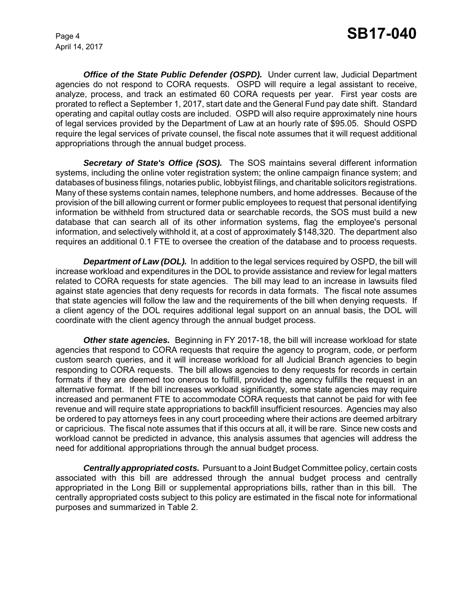**Office of the State Public Defender (OSPD).** Under current law, Judicial Department agencies do not respond to CORA requests. OSPD will require a legal assistant to receive, analyze, process, and track an estimated 60 CORA requests per year. First year costs are prorated to reflect a September 1, 2017, start date and the General Fund pay date shift. Standard operating and capital outlay costs are included. OSPD will also require approximately nine hours of legal services provided by the Department of Law at an hourly rate of \$95.05. Should OSPD require the legal services of private counsel, the fiscal note assumes that it will request additional appropriations through the annual budget process.

*Secretary of State's Office (SOS).* The SOS maintains several different information systems, including the online voter registration system; the online campaign finance system; and databases of business filings, notaries public, lobbyist filings, and charitable solicitors registrations. Many of these systems contain names, telephone numbers, and home addresses. Because of the provision of the bill allowing current or former public employees to request that personal identifying information be withheld from structured data or searchable records, the SOS must build a new database that can search all of its other information systems, flag the employee's personal information, and selectively withhold it, at a cost of approximately \$148,320. The department also requires an additional 0.1 FTE to oversee the creation of the database and to process requests.

**Department of Law (DOL).** In addition to the legal services required by OSPD, the bill will increase workload and expenditures in the DOL to provide assistance and review for legal matters related to CORA requests for state agencies. The bill may lead to an increase in lawsuits filed against state agencies that deny requests for records in data formats. The fiscal note assumes that state agencies will follow the law and the requirements of the bill when denying requests. If a client agency of the DOL requires additional legal support on an annual basis, the DOL will coordinate with the client agency through the annual budget process.

*Other state agencies.* Beginning in FY 2017-18, the bill will increase workload for state agencies that respond to CORA requests that require the agency to program, code, or perform custom search queries, and it will increase workload for all Judicial Branch agencies to begin responding to CORA requests. The bill allows agencies to deny requests for records in certain formats if they are deemed too onerous to fulfill, provided the agency fulfills the request in an alternative format. If the bill increases workload significantly, some state agencies may require increased and permanent FTE to accommodate CORA requests that cannot be paid for with fee revenue and will require state appropriations to backfill insufficient resources. Agencies may also be ordered to pay attorneys fees in any court proceeding where their actions are deemed arbitrary or capricious. The fiscal note assumes that if this occurs at all, it will be rare. Since new costs and workload cannot be predicted in advance, this analysis assumes that agencies will address the need for additional appropriations through the annual budget process.

*Centrally appropriated costs.* Pursuant to a Joint Budget Committee policy, certain costs associated with this bill are addressed through the annual budget process and centrally appropriated in the Long Bill or supplemental appropriations bills, rather than in this bill. The centrally appropriated costs subject to this policy are estimated in the fiscal note for informational purposes and summarized in Table 2.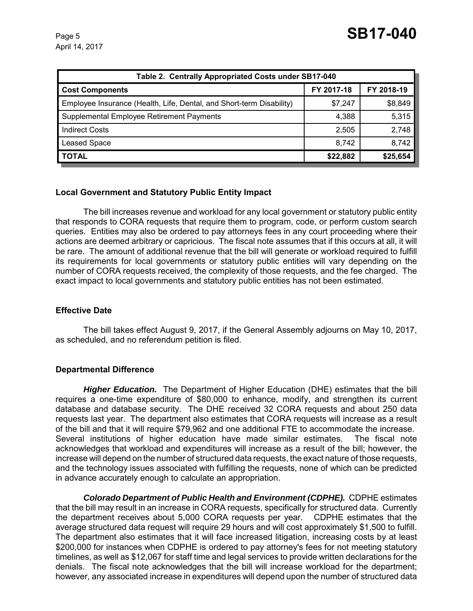| Table 2. Centrally Appropriated Costs under SB17-040                 |            |            |  |  |  |  |
|----------------------------------------------------------------------|------------|------------|--|--|--|--|
| <b>Cost Components</b>                                               | FY 2017-18 | FY 2018-19 |  |  |  |  |
| Employee Insurance (Health, Life, Dental, and Short-term Disability) | \$7,247    | \$8,849    |  |  |  |  |
| Supplemental Employee Retirement Payments                            | 4,388      | 5,315      |  |  |  |  |
| <b>Indirect Costs</b>                                                | 2,505      | 2,748      |  |  |  |  |
| <b>Leased Space</b>                                                  | 8,742      | 8,742      |  |  |  |  |
| <b>TOTAL</b>                                                         | \$22,882   | \$25,654   |  |  |  |  |

#### **Local Government and Statutory Public Entity Impact**

The bill increases revenue and workload for any local government or statutory public entity that responds to CORA requests that require them to program, code, or perform custom search queries. Entities may also be ordered to pay attorneys fees in any court proceeding where their actions are deemed arbitrary or capricious. The fiscal note assumes that if this occurs at all, it will be rare. The amount of additional revenue that the bill will generate or workload required to fulfill its requirements for local governments or statutory public entities will vary depending on the number of CORA requests received, the complexity of those requests, and the fee charged. The exact impact to local governments and statutory public entities has not been estimated.

#### **Effective Date**

The bill takes effect August 9, 2017, if the General Assembly adjourns on May 10, 2017, as scheduled, and no referendum petition is filed.

#### **Departmental Difference**

*Higher Education.* The Department of Higher Education (DHE) estimates that the bill requires a one-time expenditure of \$80,000 to enhance, modify, and strengthen its current database and database security. The DHE received 32 CORA requests and about 250 data requests last year. The department also estimates that CORA requests will increase as a result of the bill and that it will require \$79,962 and one additional FTE to accommodate the increase. Several institutions of higher education have made similar estimates. The fiscal note acknowledges that workload and expenditures will increase as a result of the bill; however, the increase will depend on the number of structured data requests, the exact nature of those requests, and the technology issues associated with fulfilling the requests, none of which can be predicted in advance accurately enough to calculate an appropriation.

*Colorado Department of Public Health and Environment (CDPHE).* CDPHE estimates that the bill may result in an increase in CORA requests, specifically for structured data. Currently the department receives about 5,000 CORA requests per year. CDPHE estimates that the average structured data request will require 29 hours and will cost approximately \$1,500 to fulfill. The department also estimates that it will face increased litigation, increasing costs by at least \$200,000 for instances when CDPHE is ordered to pay attorney's fees for not meeting statutory timelines, as well as \$12,067 for staff time and legal services to provide written declarations for the denials. The fiscal note acknowledges that the bill will increase workload for the department; however, any associated increase in expenditures will depend upon the number of structured data